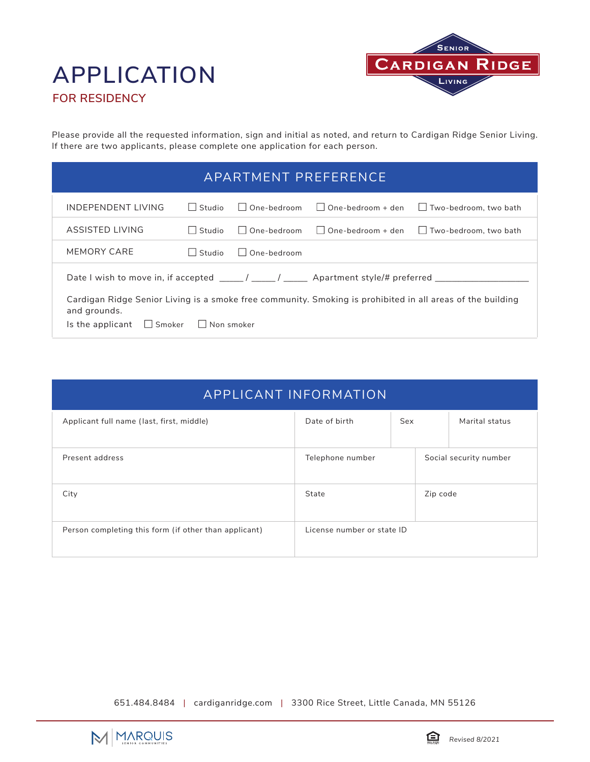# **FOR RESIDENCY APPLICATION**



Please provide all the requested information, sign and initial as noted, and return to Cardigan Ridge Senior Living. If there are two applicants, please complete one application for each person.

| APARTMENT PREFERENCE                                                                                                                                                                 |                          |                        |                                   |                              |
|--------------------------------------------------------------------------------------------------------------------------------------------------------------------------------------|--------------------------|------------------------|-----------------------------------|------------------------------|
| INDEPENDENT LIVING                                                                                                                                                                   | Studio<br>$\mathbf{L}$   | One-bedroom<br>$\perp$ | $One-hedroom + den$<br>$\sim$ 1.1 | $\Box$ Two-bedroom, two bath |
| ASSISTED LIVING                                                                                                                                                                      | Studio<br>$\blacksquare$ | One-bedroom<br>$\Box$  | One-bedroom + den<br>$\Box$       | $\Box$ Two-bedroom, two bath |
| MEMORY CARE                                                                                                                                                                          | Studio                   | One-bedroom<br>$\Box$  |                                   |                              |
| Date I wish to move in, if accepted _____/ _____/ _____ Apartment style/# preferred ________                                                                                         |                          |                        |                                   |                              |
| Cardigan Ridge Senior Living is a smoke free community. Smoking is prohibited in all areas of the building<br>and grounds.<br>$\Box$ Smoker<br>$\Box$ Non smoker<br>Is the applicant |                          |                        |                                   |                              |

| <b>APPLICANT INFORMATION</b>                          |                            |     |          |                        |
|-------------------------------------------------------|----------------------------|-----|----------|------------------------|
| Applicant full name (last, first, middle)             | Date of birth              | Sex |          | Marital status         |
| Present address                                       | Telephone number           |     |          | Social security number |
| City                                                  | State                      |     | Zip code |                        |
| Person completing this form (if other than applicant) | License number or state ID |     |          |                        |

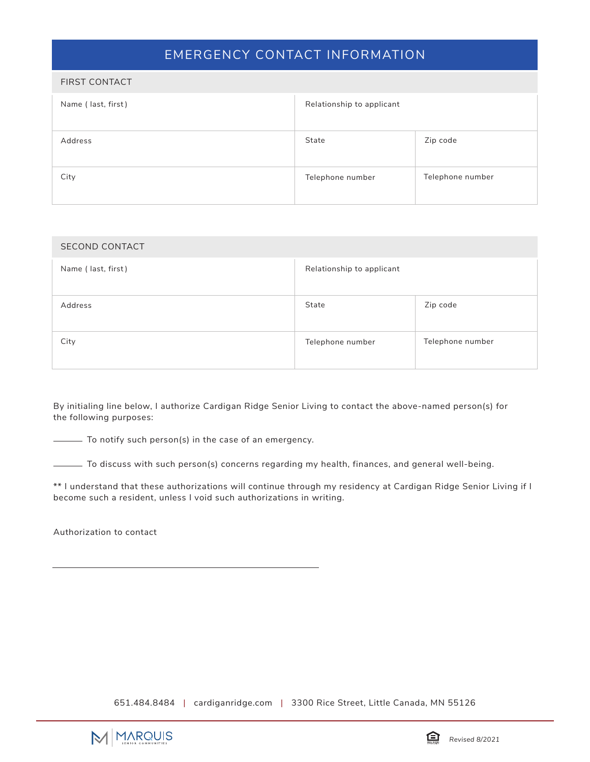### EMERGENCY CONTACT INFORMATION

| <b>FIRST CONTACT</b> |                           |                  |
|----------------------|---------------------------|------------------|
| Name (last, first)   | Relationship to applicant |                  |
| Address              | State                     | Zip code         |
| City                 | Telephone number          | Telephone number |

| <b>SECOND CONTACT</b> |                           |                  |
|-----------------------|---------------------------|------------------|
| Name (last, first)    | Relationship to applicant |                  |
| Address               | State                     | Zip code         |
| City                  | Telephone number          | Telephone number |

By initialing line below, I authorize Cardigan Ridge Senior Living to contact the above-named person(s) for the following purposes:

To notify such person(s) in the case of an emergency.

To discuss with such person(s) concerns regarding my health, finances, and general well-being.

\*\* I understand that these authorizations will continue through my residency at Cardigan Ridge Senior Living if I become such a resident, unless I void such authorizations in writing.

Authorization to contact

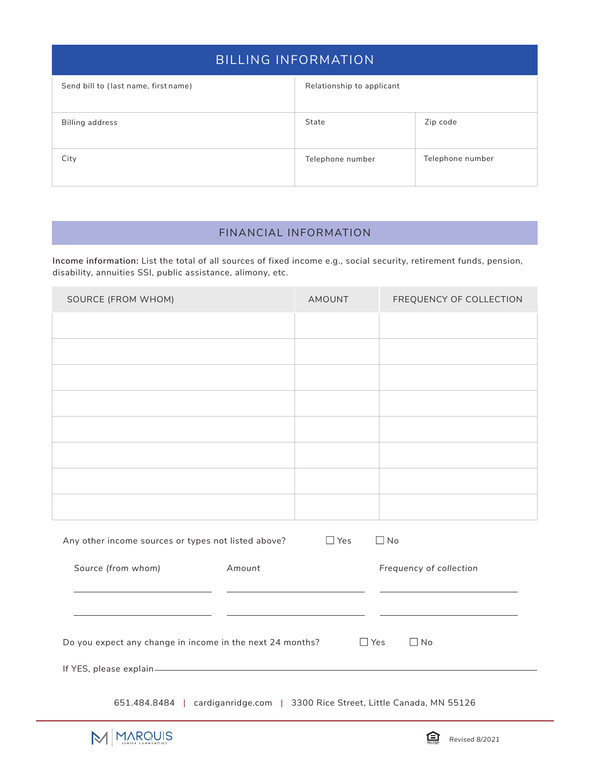| <b>BILLING INFORMATION</b>           |                           |                  |  |
|--------------------------------------|---------------------------|------------------|--|
| Send bill to (last name, first name) | Relationship to applicant |                  |  |
| <b>Billing address</b>               | State                     | Zip code         |  |
| City                                 | Telephone number          | Telephone number |  |

# FINANCIAL INFORMATION

**Income information:** List the total of all sources of fixed income e.g., social security, retirement funds, pension, disability, annuities SSI, public assistance, alimony, etc.

| SOURCE (FROM WHOM)                                                           | AMOUNT     | FREQUENCY OF COLLECTION |
|------------------------------------------------------------------------------|------------|-------------------------|
|                                                                              |            |                         |
|                                                                              |            |                         |
|                                                                              |            |                         |
|                                                                              |            |                         |
|                                                                              |            |                         |
|                                                                              |            |                         |
|                                                                              |            |                         |
|                                                                              |            |                         |
| Any other income sources or types not listed above?                          | $\Box$ Yes | $\Box$ No               |
| Source (from whom)<br><b>Amount</b>                                          |            | Frequency of collection |
|                                                                              |            |                         |
|                                                                              |            |                         |
| Do you expect any change in income in the next 24 months?                    | $\Box$ Yes | $\Box$ No               |
|                                                                              |            |                         |
| 651.484.8484   cardiganridge.com   3300 Rice Street, Little Canada, MN 55126 |            |                         |

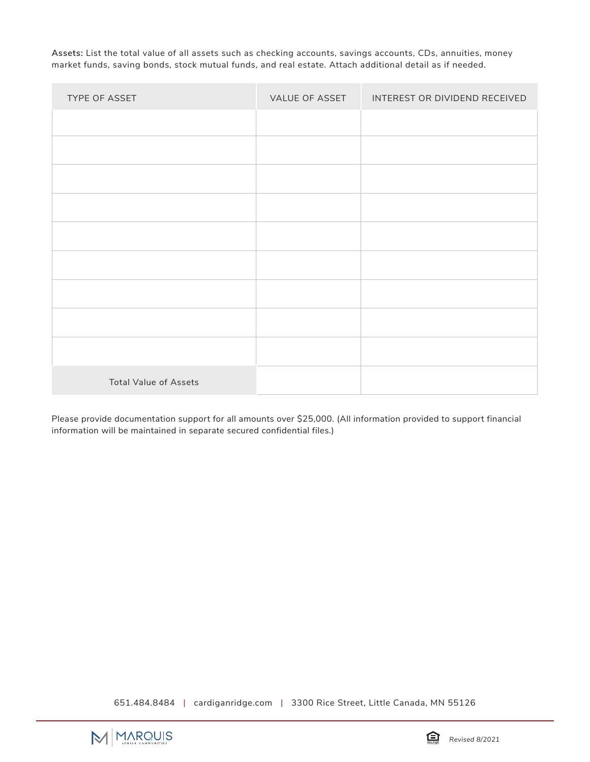**Assets:** List the total value of all assets such as checking accounts, savings accounts, CDs, annuities, money market funds, saving bonds, stock mutual funds, and real estate. Attach additional detail as if needed.

| TYPE OF ASSET                | VALUE OF ASSET | INTEREST OR DIVIDEND RECEIVED |
|------------------------------|----------------|-------------------------------|
|                              |                |                               |
|                              |                |                               |
|                              |                |                               |
|                              |                |                               |
|                              |                |                               |
|                              |                |                               |
|                              |                |                               |
|                              |                |                               |
|                              |                |                               |
| <b>Total Value of Assets</b> |                |                               |

Please provide documentation support for all amounts over \$25,000. (All information provided to support financial information will be maintained in separate secured confidential files.)

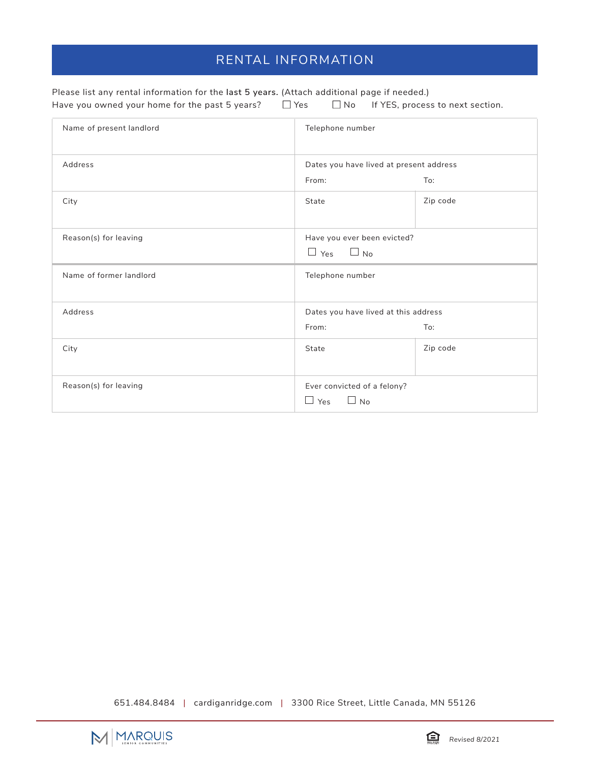# RENTAL INFORMATION

| Please list any rental information for the last 5 years. (Attach additional page if needed.) |            |                                            |
|----------------------------------------------------------------------------------------------|------------|--------------------------------------------|
| Have you owned your home for the past 5 years?                                               | $\Box$ Yes | $\Box$ No If YES, process to next section. |

| Name of present landlord | Telephone number                                       |          |
|--------------------------|--------------------------------------------------------|----------|
| Address                  | Dates you have lived at present address                |          |
|                          | From:                                                  | To:      |
| City                     | State                                                  | Zip code |
| Reason(s) for leaving    | Have you ever been evicted?                            |          |
|                          | $\Box$ Yes $\Box$ No                                   |          |
| Name of former landlord  | Telephone number                                       |          |
| Address                  | Dates you have lived at this address                   |          |
|                          | From:                                                  | To:      |
| City                     | State                                                  | Zip code |
| Reason(s) for leaving    | Ever convicted of a felony?<br>$\Box$ Yes<br>$\Box$ No |          |

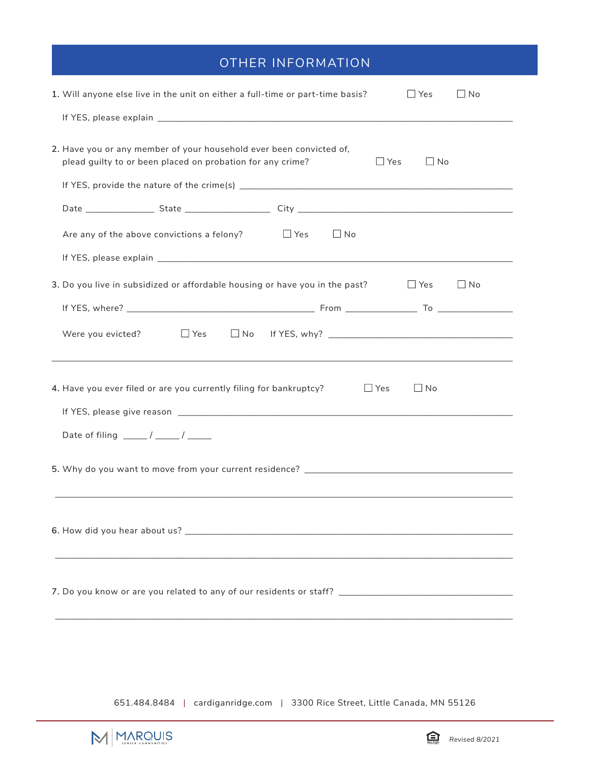# OTHER INFORMATION

| 1. Will anyone else live in the unit on either a full-time or part-time basis?<br>$\Box$ Yes<br>$\Box$ No                                                    |
|--------------------------------------------------------------------------------------------------------------------------------------------------------------|
|                                                                                                                                                              |
| 2. Have you or any member of your household ever been convicted of,<br>plead guilty to or been placed on probation for any crime?<br>$\Box$ Yes<br>$\Box$ No |
|                                                                                                                                                              |
| Are any of the above convictions a felony? $\Box$ Yes<br>$\Box$ No                                                                                           |
|                                                                                                                                                              |
| 3. Do you live in subsidized or affordable housing or have you in the past?<br>$\Box$ Yes<br>$\Box$ No                                                       |
|                                                                                                                                                              |
| Were you evicted?<br>$\Box$ Yes                                                                                                                              |
| 4. Have you ever filed or are you currently filing for bankruptcy?<br>$\Box$ Yes<br>$\Box$ No<br>Date of filing _____/ ____/ _____                           |
|                                                                                                                                                              |
|                                                                                                                                                              |
|                                                                                                                                                              |
|                                                                                                                                                              |

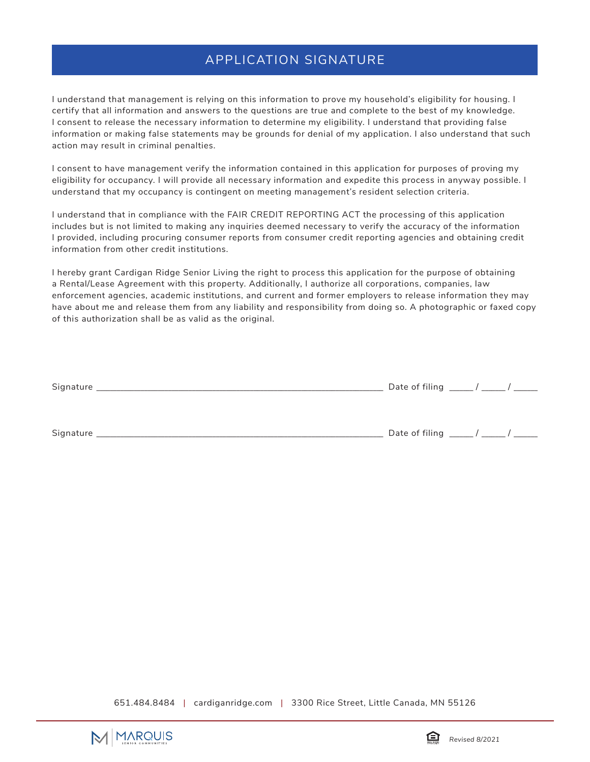#### APPLICATION SIGNATURE

I understand that management is relying on this information to prove my household's eligibility for housing. I certify that all information and answers to the questions are true and complete to the best of my knowledge. I consent to release the necessary information to determine my eligibility. I understand that providing false information or making false statements may be grounds for denial of my application. I also understand that such action may result in criminal penalties.

I consent to have management verify the information contained in this application for purposes of proving my eligibility for occupancy. I will provide all necessary information and expedite this process in anyway possible. I understand that my occupancy is contingent on meeting management's resident selection criteria.

I understand that in compliance with the FAIR CREDIT REPORTING ACT the processing of this application includes but is not limited to making any inquiries deemed necessary to verify the accuracy of the information I provided, including procuring consumer reports from consumer credit reporting agencies and obtaining credit information from other credit institutions.

I hereby grant Cardigan Ridge Senior Living the right to process this application for the purpose of obtaining a Rental/Lease Agreement with this property. Additionally, I authorize all corporations, companies, law enforcement agencies, academic institutions, and current and former employers to release information they may have about me and release them from any liability and responsibility from doing so. A photographic or faxed copy of this authorization shall be as valid as the original.

| Signature | Date of filing $\frac{1}{\sqrt{2}}$ |
|-----------|-------------------------------------|
|           |                                     |
|           |                                     |
| Signature | Date of filing ____                 |



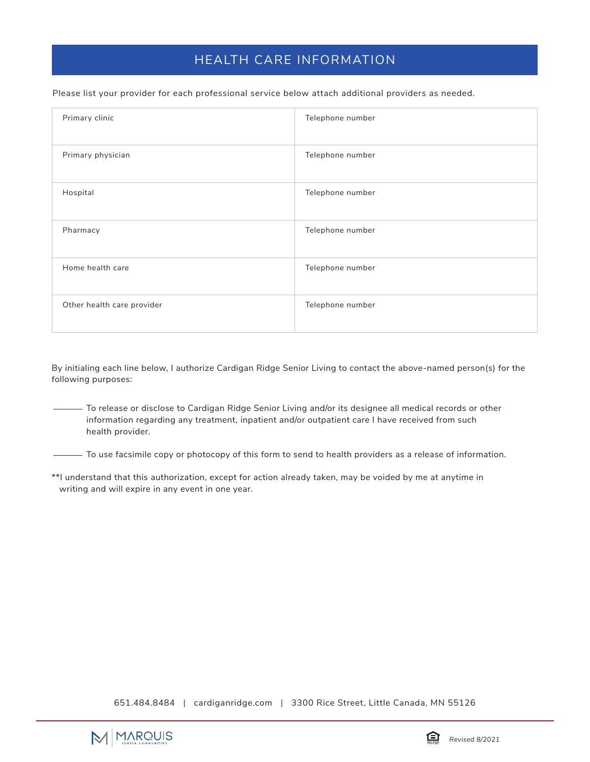### HEALTH CARE INFORMATION

Please list your provider for each professional service below attach additional providers as needed.

| Primary clinic             | Telephone number |
|----------------------------|------------------|
| Primary physician          | Telephone number |
| Hospital                   | Telephone number |
| Pharmacy                   | Telephone number |
| Home health care           | Telephone number |
| Other health care provider | Telephone number |

By initialing each line below, I authorize Cardigan Ridge Senior Living to contact the above-named person(s) for the following purposes:

To release or disclose to Cardigan Ridge Senior Living and/or its designee all medical records or other information regarding any treatment, inpatient and/or outpatient care I have received from such health provider.

- To use facsimile copy or photocopy of this form to send to health providers as a release of information.

\*\*I understand that this authorization, except for action already taken, may be voided by me at anytime in writing and will expire in any event in one year.